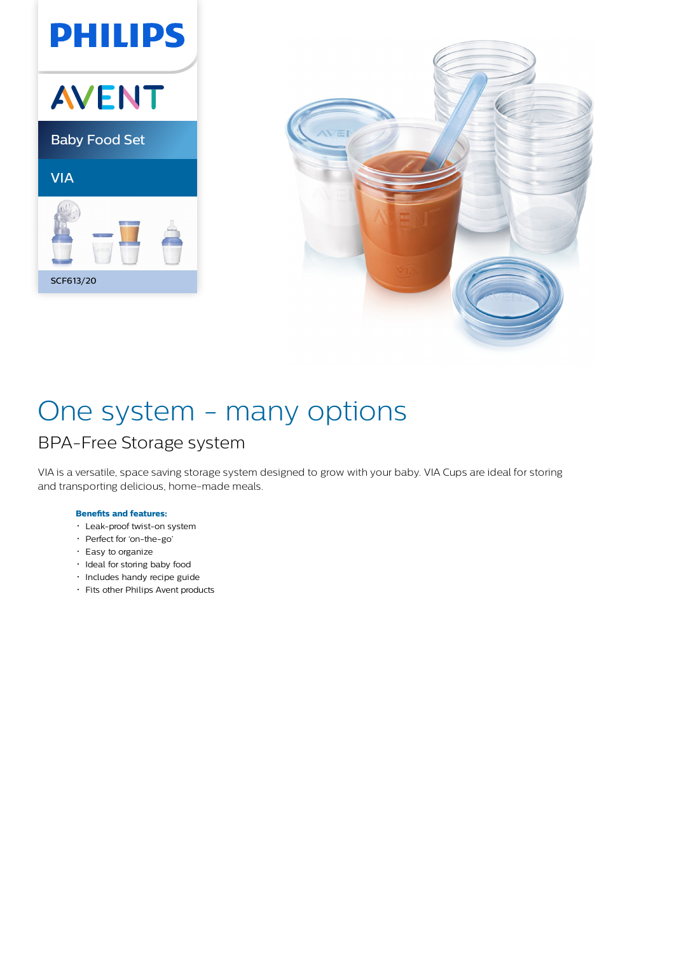



# One system - many options

### BPA-Free Storage system

VIA is a versatile, space saving storage system designed to grow with your baby. VIA Cups are ideal for storing and transporting delicious, home-made meals.

### **Benefits and features:**

- Leak-proof twist-on system
- Perfect for 'on-the-go'
- Easy to organize
- · Ideal for storing baby food
- · Includes handy recipe guide
- Fits other Philips Avent products